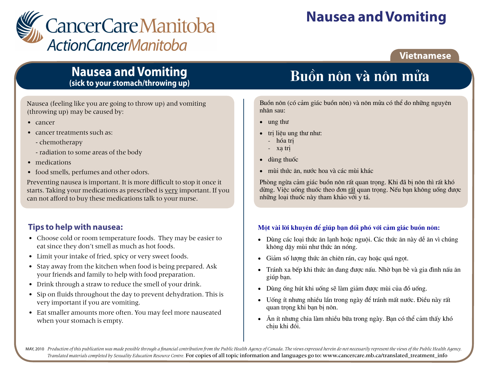

# **Nausea and Vomiting**

### **Vietnamese**

## **Nausea and Vomiting** (sick to your stomach/throwing up)

Nausea (feeling like you are going to throw up) and vomiting (throwing up) may be caused by:

- cancer
- cancer treatments such as:
	- chemotherapy
	- radiation to some areas of the body
- medications
- food smells, perfumes and other odors.

Preventing nausea is important. It is more difficult to stop it once it starts. Taking your medications as prescribed is very important. If you can not afford to buy these medications talk to your nurse.

## **Tips to help with nausea:**

- Choose cold or room temperature foods. They may be easier to eat since they don't smell as much as hot foods.
- Limit your intake of fried, spicy or very sweet foods.
- Stay away from the kitchen when food is being prepared. Ask your friends and family to help with food preparation.
- Drink through a straw to reduce the smell of your drink.
- Sip on fluids throughout the day to prevent dehydration. This is very important if you are vomiting.
- Eat smaller amounts more often. You may feel more nauseated when your stomach is empty.

# Buồn nôn và nôn mửa

Buồn nôn (có cảm giác buồn nôn) và nôn mửa có thể do những nguyên nhân sau:

- $\bullet$  ung thu
- tri liêu ung thư như:
	- hóa tri
	- xa tri
- dùng thuốc
- · mùi thức ăn, nước hoa và các mùi khác

Phòng ngừa cảm giác buồn nôn rất quan trong. Khi đã bị nôn thì rất khó dừng. Việc uống thuốc theo đơn rất quan trong. Nếu ban không uống được những loại thuốc này tham khảo với y tá.

### Một vài lời khuyên để giúp ban đối phó với cảm giác buồn nôn:

- Dùng các loai thức ăn lanh hoặc nguôi. Các thức ăn này dễ ăn vì chúng không dây mùi như thức ăn nóng.
- Giảm số lượng thức ăn chiến rán, cay hoặc quá ngọt.
- Tránh xa bếp khi thức ăn đang được nấu. Nhờ ban bè và gia đình nấu ăn giúp ban.
- Dùng ống hút khi uống sẽ làm giảm được mùi của đồ uống.
- Uống ít nhưng nhiều lần trong ngày để tránh mất nước. Điều này rất  $\bullet$ quan trong khi ban bi nôn.
- Ăn ít nhưng chia làm nhiều bữa trong ngày. Bạn có thể cảm thấy khó chiu khi đói.

MAY, 2010 Production of this publication was made possible through a financial contribution from the Public Health Agency of Canada. The views expressed herein do not necessarily represent the views of the Public Health Ag Translated materials completed by Sexuality Education Resource Centre. For copies of all topic information and languages go to: www.cancercare.mb.ca/translated\_treatment\_info